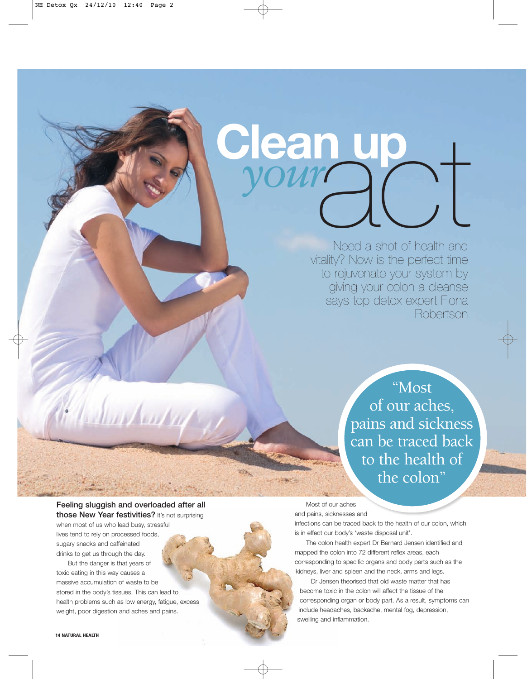# Clean up<br>*your* and Clean *your*

Need a shot of health and vitality? Now is the perfect time to rejuvenate your system by giving your colon a cleanse says top detox expert Fiona Robertson

> "Most of our aches, pains and sickness can be traced back to the health of the colon"

Feeling sluggish and overloaded after all those New Year festivities? It's not surprising when most of us who lead busy, stressful lives tend to rely on processed foods,

1. A Sharkouter

sugary snacks and caffeinated drinks to get us through the day.

But the danger is that years of toxic eating in this way causes a massive accumulation of waste to be stored in the body's tissues. This can lead to health problems such as low energy, fatigue, excess weight, poor digestion and aches and pains.

Most of our aches

and pains, sicknesses and

infections can be traced back to the health of our colon, which is in effect our body's 'waste disposal unit'.

The colon health expert Dr Bernard Jensen identified and mapped the colon into 72 different reflex areas, each corresponding to specific organs and body parts such as the kidneys, liver and spleen and the neck, arms and legs.

Dr Jensen theorised that old waste matter that has become toxic in the colon will affect the tissue of the corresponding organ or body part. As a result, symptoms can include headaches, backache, mental fog, depression, swelling and inflammation.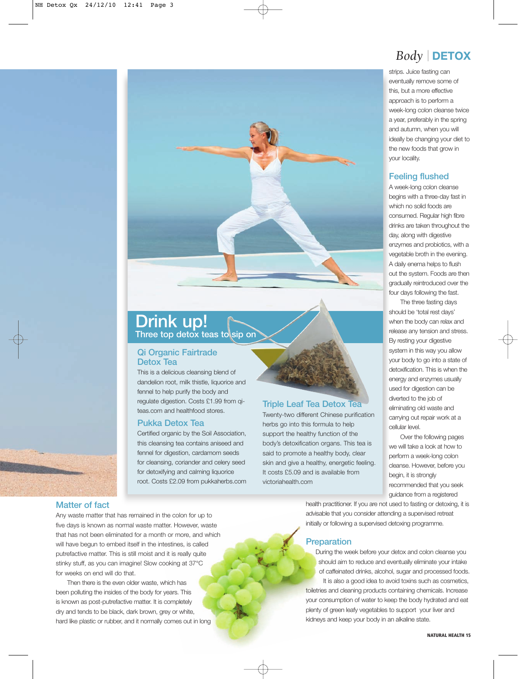## Drink up!

Three top detox teas to sip on

## Qi Organic Fairtrade Detox Tea

This is a delicious cleansing blend of dandelion root, milk thistle, liquorice and fennel to help purify the body and regulate digestion. Costs £1.99 from qiteas.com and healthfood stores.

## Pukka Detox Tea

Certified organic by the Soil Association, this cleansing tea contains aniseed and fennel for digestion, cardamom seeds for cleansing, coriander and celery seed for detoxifying and calming liquorice root. Costs £2.09 from pukkaherbs.com

## Triple Leaf Tea Detox Tea

Twenty-two different Chinese purification herbs go into this formula to help support the healthy function of the body's detoxification organs. This tea is said to promote a healthy body, clear skin and give a healthy, energetic feeling. It costs £5.09 and is available from victoriahealth.com

## *Body* | **DETOX**

strips. Juice fasting can eventually remove some of this, but a more effective approach is to perform a week-long colon cleanse twice a year, preferably in the spring and autumn, when you will ideally be changing your diet to the new foods that grow in your locality.

## Feeling flushed

A week-long colon cleanse begins with a three-day fast in which no solid foods are consumed. Regular high fibre drinks are taken throughout the day, along with digestive enzymes and probiotics, with a vegetable broth in the evening. A daily enema helps to flush out the system. Foods are then gradually reintroduced over the four days following the fast.

The three fasting days should be 'total rest days' when the body can relax and release any tension and stress. By resting your digestive system in this way you allow your body to go into a state of detoxification. This is when the energy and enzymes usually used for digestion can be diverted to the job of eliminating old waste and carrying out repair work at a cellular level.

Over the following pages we will take a look at how to perform a week-long colon cleanse. However, before you begin, it is strongly recommended that you seek guidance from a registered

health practitioner. If you are not used to fasting or detoxing, it is advisable that you consider attending a supervised retreat initially or following a supervised detoxing programme.

## **Preparation**

During the week before your detox and colon cleanse you should aim to reduce and eventually eliminate your intake of caffeinated drinks, alcohol, sugar and processed foods. It is also a good idea to avoid toxins such as cosmetics, toiletries and cleaning products containing chemicals. Increase your consumption of water to keep the body hydrated and eat plenty of green leafy vegetables to support your liver and kidneys and keep your body in an alkaline state.

## Matter of fact

Any waste matter that has remained in the colon for up to five days is known as normal waste matter. However, waste that has not been eliminated for a month or more, and which will have begun to embed itself in the intestines, is called putrefactive matter. This is still moist and it is really quite stinky stuff, as you can imagine! Slow cooking at 37°C for weeks on end will do that.

Then there is the even older waste, which has been polluting the insides of the body for years. This is known as post-putrefactive matter. It is completely dry and tends to be black, dark brown, grey or white, hard like plastic or rubber, and it normally comes out in long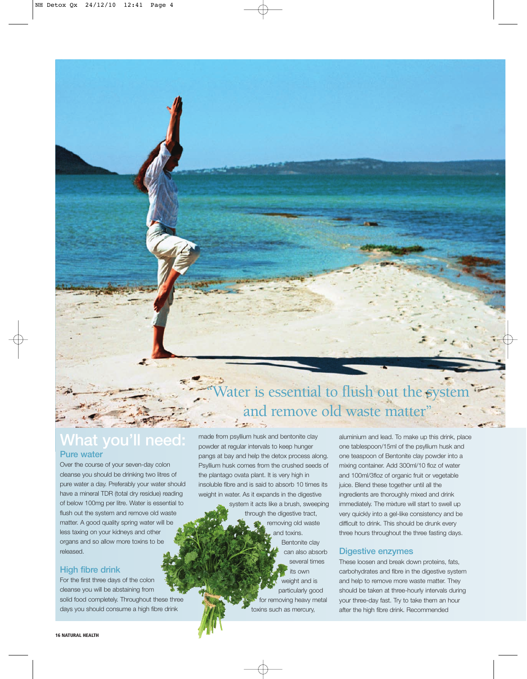## What you'll need: Pure water

Over the course of your seven-day colon cleanse you should be drinking two litres of pure water a day. Preferably your water should have a mineral TDR (total dry residue) reading of below 100mg per litre. Water is essential to flush out the system and remove old waste matter. A good quality spring water will be less taxing on your kidneys and other organs and so allow more toxins to be released.

## High fibre drink

For the first three days of the colon cleanse you will be abstaining from solid food completely. Throughout these three days you should consume a high fibre drink

16 NATURAL HEALTH

# Vater is essential to flush out the system and remove old waste matter"

made from psyllium husk and bentonite clay powder at regular intervals to keep hunger pangs at bay and help the detox process along. Psyllium husk comes from the crushed seeds of the plantago ovata plant. It is very high in insoluble fibre and is said to absorb 10 times its weight in water. As it expands in the digestive

> system it acts like a brush, sweeping through the digestive tract, removing old waste and toxins. Bentonite clay can also absorb several times its own weight and is particularly good for removing heavy metal toxins such as mercury,

aluminium and lead. To make up this drink, place one tablespoon/15ml of the psyllium husk and one teaspoon of Bentonite clay powder into a mixing container. Add 300ml/10 floz of water and 100ml/3floz of organic fruit or vegetable juice. Blend these together until all the ingredients are thoroughly mixed and drink immediately. The mixture will start to swell up very quickly into a gel-like consistency and be difficult to drink. This should be drunk every three hours throughout the three fasting days.

## Digestive enzymes

These loosen and break down proteins, fats, carbohydrates and fibre in the digestive system and help to remove more waste matter. They should be taken at three-hourly intervals during your three-day fast. Try to take them an hour after the high fibre drink. Recommended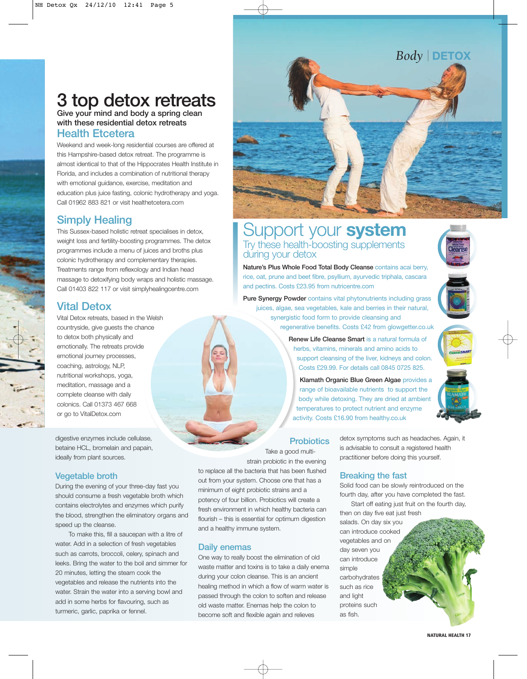## 3 top detox retreats Give your mind and body a spring clean

with these residential detox retreats Health Etcetera

Weekend and week-long residential courses are offered at this Hampshire-based detox retreat. The programme is almost identical to that of the Hippocrates Health Institute in Florida, and includes a combination of nutritional therapy with emotional guidance, exercise, meditation and education plus juice fasting, colonic hydrotherapy and yoga. Call 01962 883 821 or visit healthetcetera.com

## Simply Healing

This Sussex-based holistic retreat specialises in detox, weight loss and fertility-boosting programmes. The detox programmes include a menu of juices and broths plus colonic hydrotherapy and complementary therapies. Treatments range from reflexology and Indian head massage to detoxifying body wraps and holistic massage. Call 01403 822 117 or visit simplyhealingcentre.com

## Vital Detox

Vital Detox retreats, based in the Welsh countryside, give guests the chance to detox both physically and emotionally. The retreats provide emotional journey processes, coaching, astrology, NLP, nutritional workshops, yoga, meditation, massage and a complete cleanse with daily colonics. Call 01373 467 668 or go to VitalDetox.com

digestive enzymes include cellulase, betaine HCL, bromelain and papain, ideally from plant sources.

## Vegetable broth

During the evening of your three-day fast you should consume a fresh vegetable broth which contains electrolytes and enzymes which purify the blood, strengthen the eliminatory organs and speed up the cleanse.

To make this, fill a saucepan with a litre of water. Add in a selection of fresh vegetables such as carrots, broccoli, celery, spinach and leeks. Bring the water to the boil and simmer for 20 minutes, letting the steam cook the vegetables and release the nutrients into the water. Strain the water into a serving bowl and add in some herbs for flavouring, such as turmeric, garlic, paprika or fennel.



## Support your **system** Try these health-boosting supplements during your detox

Nature's Plus Whole Food Total Body Cleanse contains acai berry, rice, oat, prune and beet fibre, psyllium, ayurvedic triphala, cascara and pectins. Costs £23.95 from nutricentre.com

Pure Synergy Powder contains vital phytonutrients including grass juices, algae, sea vegetables, kale and berries in their natural, synergistic food form to provide cleansing and regenerative benefits. Costs £42 from glowgetter.co.uk

> Renew Life Cleanse Smart is a natural formula of herbs, vitamins, minerals and amino acids to support cleansing of the liver, kidneys and colon. Costs £29.99. For details call 0845 0725 825.

Klamath Organic Blue Green Algae provides a range of bioavailable nutrients to support the body while detoxing. They are dried at ambient temperatures to protect nutrient and enzyme activity. Costs £16.90 from healthy.co.uk

## **Probiotics**

Take a good multistrain probiotic in the evening

to replace all the bacteria that has been flushed out from your system. Choose one that has a minimum of eight probiotic strains and a potency of four billion. Probiotics will create a fresh environment in which healthy bacteria can flourish – this is essential for optimum digestion and a healthy immune system.

## Daily enemas

One way to really boost the elimination of old waste matter and toxins is to take a daily enema during your colon cleanse. This is an ancient healing method in which a flow of warm water is passed through the colon to soften and release old waste matter. Enemas help the colon to become soft and flexible again and relieves

detox symptoms such as headaches. Again, it is advisable to consult a registered health practitioner before doing this yourself.

## Breaking the fast

Solid food can be slowly reintroduced on the fourth day, after you have completed the fast.

Start off eating just fruit on the fourth day, then on day five eat just fresh salads. On day six you

can introduce cooked vegetables and on day seven you can introduce simple carbohydrates such as rice and light proteins such as fish.